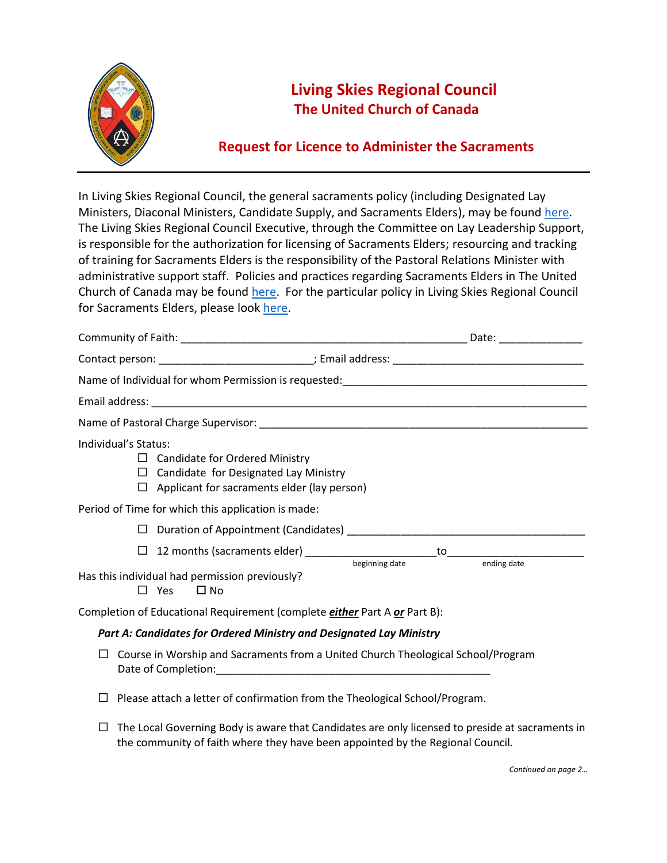

## **Living Skies Regional Council The United Church of Canada**

## **Request for Licence to Administer the Sacraments**

In Living Skies Regional Council, the general sacraments policy (including Designated Lay Ministers, Diaconal Ministers, Candidate Supply, and Sacraments Elders), may be found [here.](https://livingskiesrc.ca/wp-content/uploads/2020/07/LSRC-Sacraments-Licensing-Policy-Feb20.pdf) The Living Skies Regional Council Executive, through the Committee on Lay Leadership Support, is responsible for the authorization for licensing of Sacraments Elders; resourcing and tracking of training for Sacraments Elders is the responsibility of the Pastoral Relations Minister with administrative support staff. Policies and practices regarding Sacraments Elders in The United Church of Canada may be found [here.](https://www.united-church.ca/sites/default/files/handbook_sacraments-elders.pdf) For the particular policy in Living Skies Regional Council for Sacraments Elders, please loo[k here.](https://livingskiesrc.ca/wp-content/uploads/2020/02/Sacraments-Elders-Policy-May19.pdf)

| Individual's Status: | $\Box$ Candidate for Ordered Ministry<br>$\Box$ Candidate for Designated Lay Ministry<br>$\Box$ Applicant for sacraments elder (lay person) |             |
|----------------------|---------------------------------------------------------------------------------------------------------------------------------------------|-------------|
|                      | Period of Time for which this application is made:                                                                                          |             |
| □                    |                                                                                                                                             |             |
|                      |                                                                                                                                             |             |
| $\Box$               | Has this individual had permission previously?<br>Yes<br>$\Box$ No                                                                          | ending date |
|                      | Completion of Educational Requirement (complete <i>either</i> Part A or Part B):                                                            |             |
|                      | Part A: Candidates for Ordered Ministry and Designated Lay Ministry                                                                         |             |
| □                    | Course in Worship and Sacraments from a United Church Theological School/Program                                                            |             |
|                      | Please attach a letter of confirmation from the Theological School/Program.                                                                 |             |

 $\Box$  The Local Governing Body is aware that Candidates are only licensed to preside at sacraments in the community of faith where they have been appointed by the Regional Council.

*Continued on page 2…*